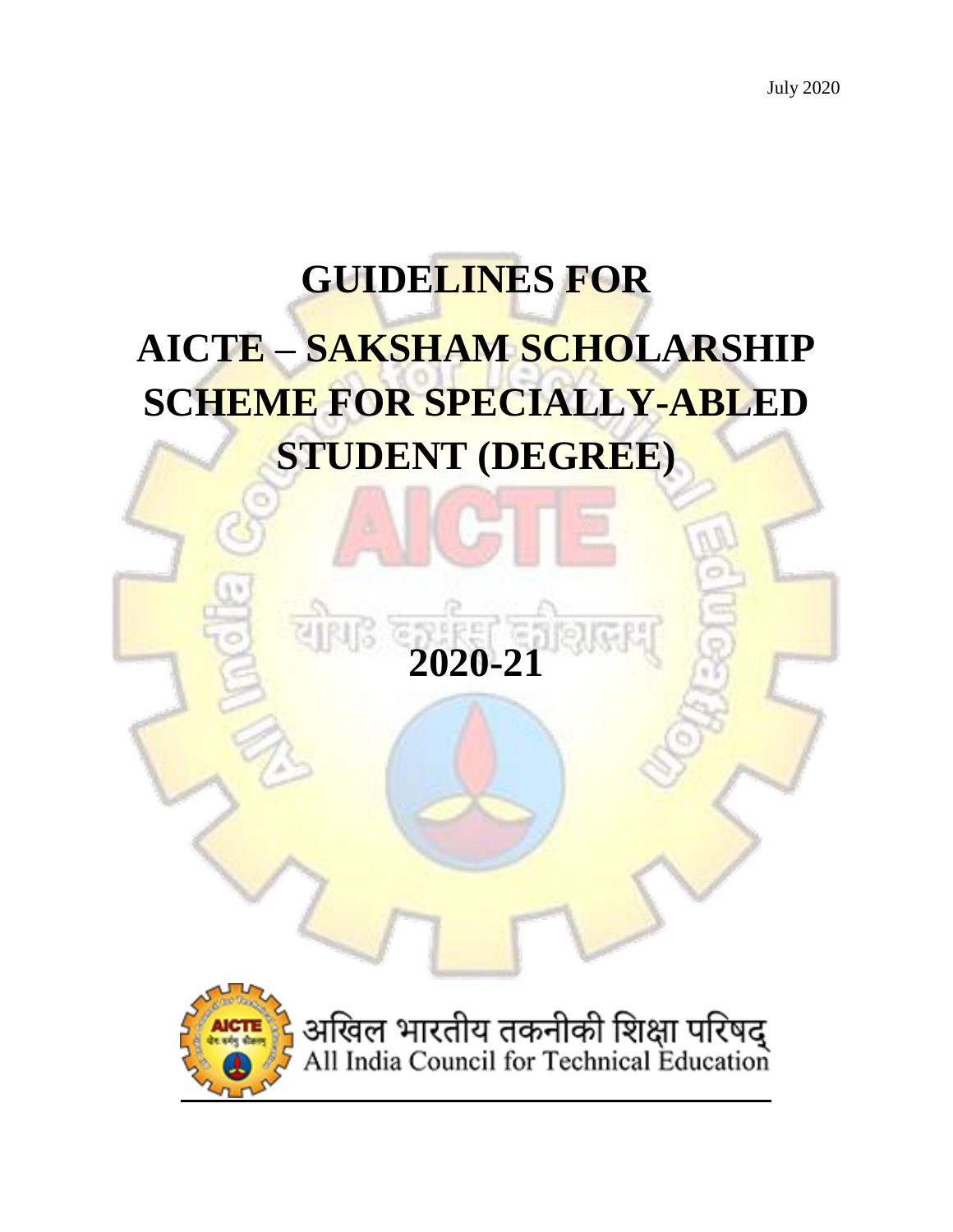# **GUIDELINES FOR AICTE – SAKSHAM SCHOLARSHIP SCHEME FOR SPECIALLY-ABLED STUDENT (DEGREE)**



अखिल भारतीय तकनीकी शिक्षा परिषद्<br>All India Council for Technical Education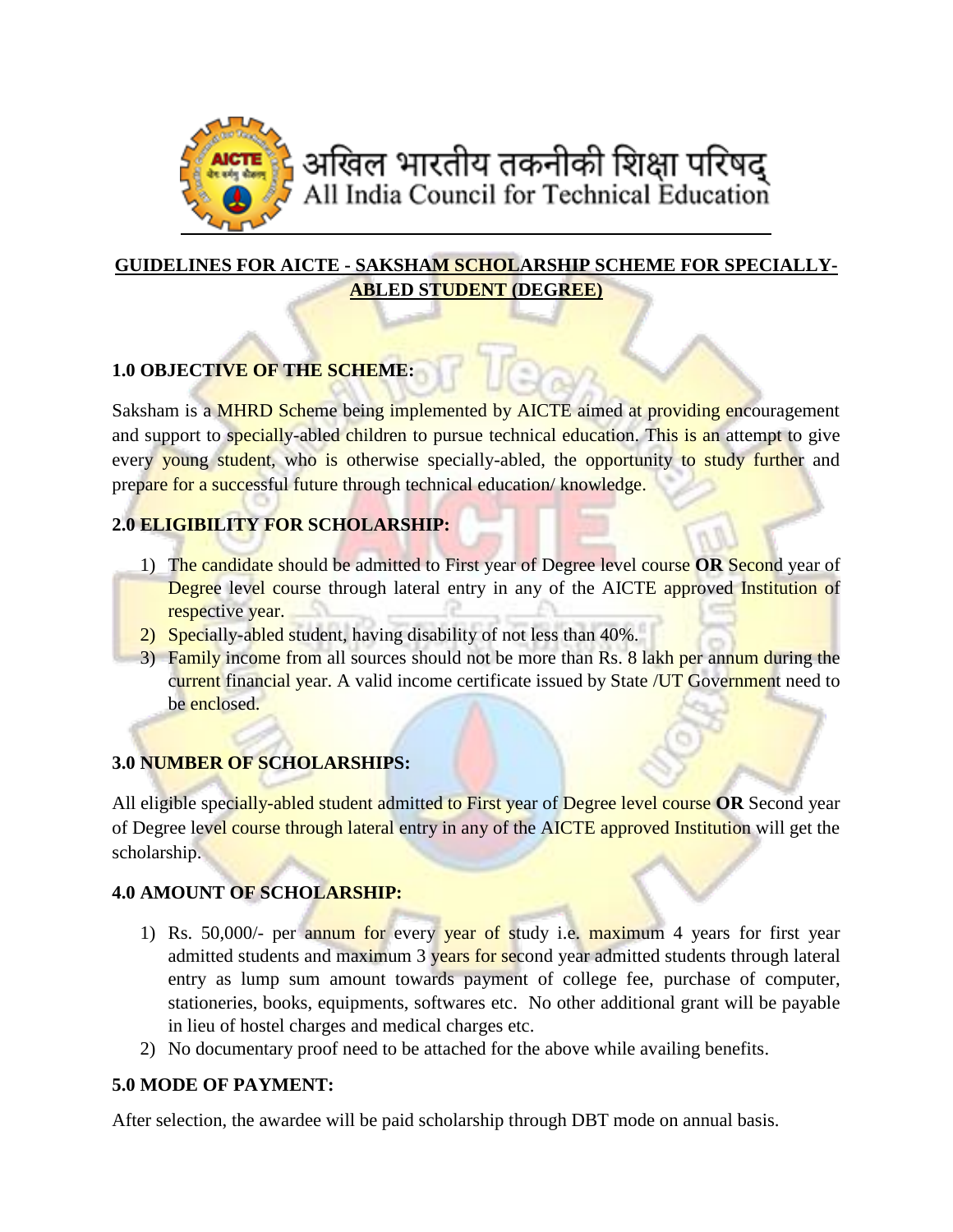

# **GUIDELINES FOR AICTE - SAKSHAM SCHOLARSHIP SCHEME FOR SPECIALLY-ABLED STUDENT (DEGREE)**

## **1.0 OBJECTIVE OF THE SCHEME:**

Saksham is a MHRD Scheme being implemented by AICTE aimed at providing encouragement and support to specially-abled children to pursue technical education. This is an attempt to give every young student, who is otherwise specially-abled, the opportunity to study further and prepare for a successful future through technical education/ knowledge.

#### **2.0 ELIGIBILITY FOR SCHOLARSHIP:**

- 1) The candidate should be admitted to First year of Degree level course **OR** Second year of Degree level course through lateral entry in any of the AICTE approved Institution of respective year.
- 2) Specially-abled student, having disability of not less than 40%.
- 3) Family income from all sources should not be more than Rs. 8 lakh per annum during the current financial year. A valid income certificate issued by State /UT Government need to be enclosed.

## **3.0 NUMBER OF SCHOLARSHIPS:**

All eligible specially-abled student admitted to First year of Degree level course **OR** Second year of Degree level course through lateral entry in any of the AICTE approved Institution will get the scholarship.

## **4.0 AMOUNT OF SCHOLARSHIP:**

- 1) Rs. 50,000/- per annum for every year of study i.e. maximum 4 years for first year admitted students and maximum 3 years for second year admitted students through lateral entry as lump sum amount towards payment of college fee, purchase of computer, stationeries, books, equipments, softwares etc. No other additional grant will be payable in lieu of hostel charges and medical charges etc.
- 2) No documentary proof need to be attached for the above while availing benefits.

#### **5.0 MODE OF PAYMENT:**

After selection, the awardee will be paid scholarship through DBT mode on annual basis.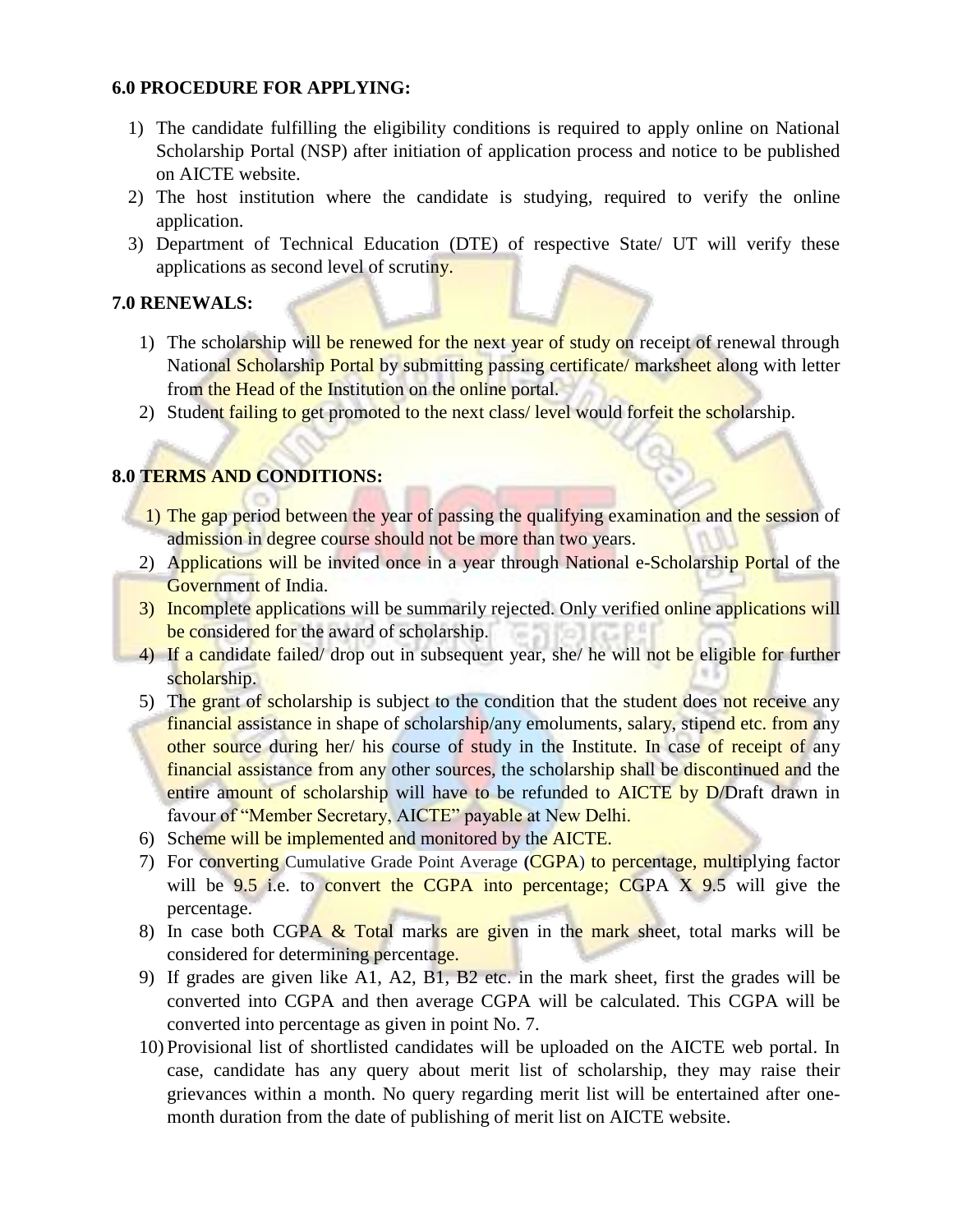#### **6.0 PROCEDURE FOR APPLYING:**

- 1) The candidate fulfilling the eligibility conditions is required to apply online on National Scholarship Portal (NSP) after initiation of application process and notice to be published on AICTE website.
- 2) The host institution where the candidate is studying, required to verify the online application.
- 3) Department of Technical Education (DTE) of respective State/ UT will verify these applications as second level of scrutiny.

#### **7.0 RENEWALS:**

- 1) The scholarship will be renewed for the next year of study on receipt of renewal through National Scholarship Portal by submitting passing certificate/ marksheet along with letter from the Head of the Institution on the online portal.
- 2) Student failing to get promoted to the next class/ level would forfeit the scholarship.

#### **8.0 TERMS AND CONDITIONS:**

- 1) The gap period between the year of passing the qualifying examination and the session of admission in degree course should not be more than two years.
- 2) Applications will be invited once in a year through National e-Scholarship Portal of the Government of India.
- 3) Incomplete applications will be summarily rejected. Only verified online applications will be considered for the award of scholarship.
- 4) If a candidate failed/ drop out in subsequent year, she/ he will not be eligible for further scholarship.
- 5) The grant of scholarship is subject to the condition that the student does not receive any financial assistance in shape of scholarship/any emoluments, salary, stipend etc. from any other source during her/ his course of study in the Institute. In case of receipt of any financial assistance from any other sources, the scholarship shall be discontinued and the entire amount of scholarship will have to be refunded to AICTE by D/Draft drawn in favour of "Member Secretary, AICTE" payable at New Delhi.
- 6) Scheme will be implemented and monitored by the AICTE.
- 7) For converting Cumulative Grade Point Average **(**CGPA) to percentage, multiplying factor will be  $9.5$  i.e. to convert the CGPA into percentage; CGPA  $X$  9.5 will give the percentage.
- 8) In case both CGPA  $&$  Total marks are given in the mark sheet, total marks will be considered for determining percentage.
- 9) If grades are given like A1, A2, B1, B2 etc. in the mark sheet, first the grades will be converted into CGPA and then average CGPA will be calculated. This CGPA will be converted into percentage as given in point No. 7.
- 10) Provisional list of shortlisted candidates will be uploaded on the AICTE web portal. In case, candidate has any query about merit list of scholarship, they may raise their grievances within a month. No query regarding merit list will be entertained after onemonth duration from the date of publishing of merit list on AICTE website.